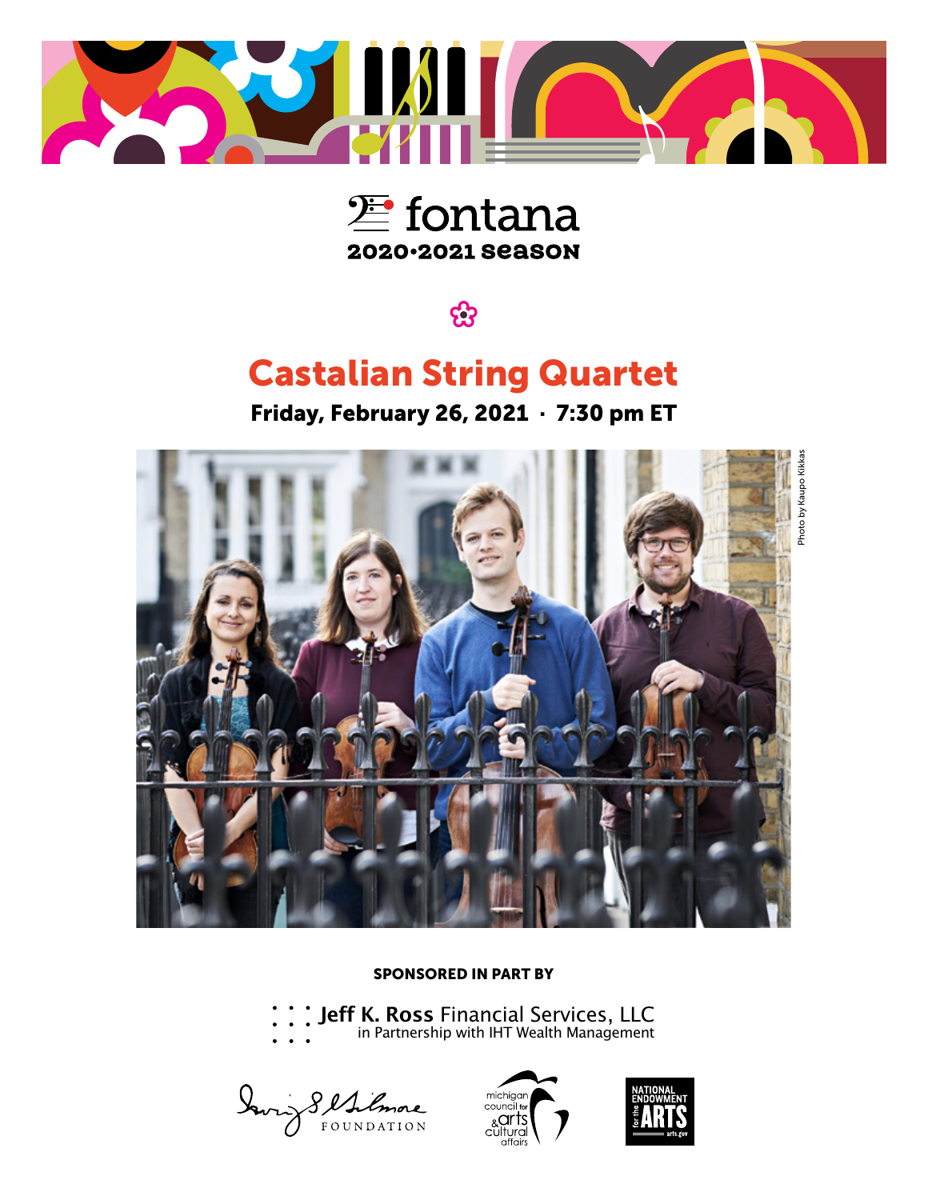



සි

### Castalian String Quartet

Friday, February 26, 2021 · 7:30 pm ET



SPONSORED IN PART BY

Jeff K. Ross [Financial Services, LLC](http://www.jeffkrossfinancial.com/)

in Partnership with IHT Wealth Management

Davis Sellinore



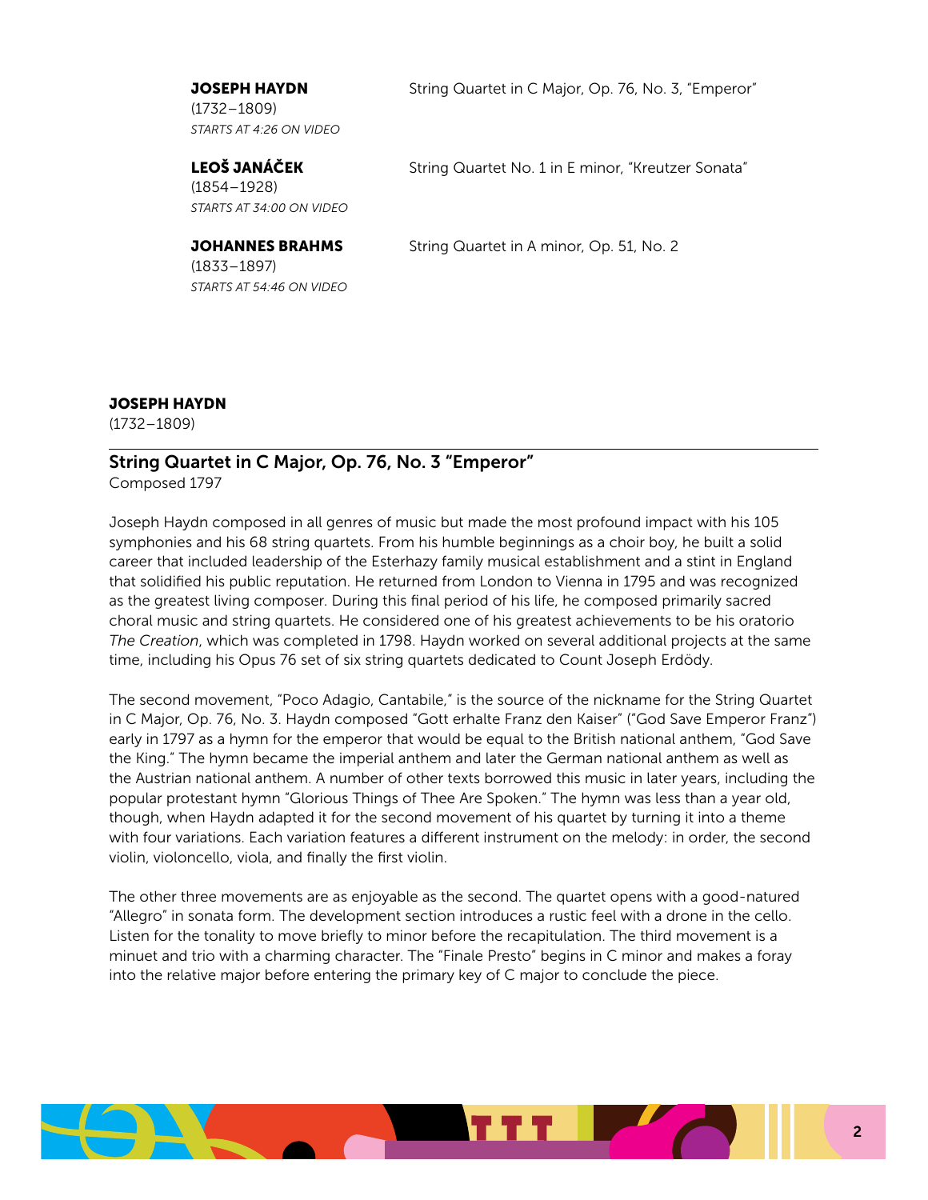(1732–1809) *STARTS AT 4:26 ON VIDEO*

**JOSEPH HAYDN** String Quartet in C Major, Op. 76, No. 3, "Emperor"

(1854–1928) *STARTS AT 34:00 ON VIDEO*

(1833–1897) *STARTS AT 54:46 ON VIDEO*

LEOŠ JANÁČEK String Quartet No. 1 in E minor, "Kreutzer Sonata"

**JOHANNES BRAHMS** String Quartet in A minor, Op. 51, No. 2

#### JOSEPH HAYDN

(1732–1809)

### String Quartet in C Major, Op. 76, No. 3 "Emperor"

Composed 1797

Joseph Haydn composed in all genres of music but made the most profound impact with his 105 symphonies and his 68 string quartets. From his humble beginnings as a choir boy, he built a solid career that included leadership of the Esterhazy family musical establishment and a stint in England that solidified his public reputation. He returned from London to Vienna in 1795 and was recognized as the greatest living composer. During this final period of his life, he composed primarily sacred choral music and string quartets. He considered one of his greatest achievements to be his oratorio *The Creation*, which was completed in 1798. Haydn worked on several additional projects at the same time, including his Opus 76 set of six string quartets dedicated to Count Joseph Erdödy.

The second movement, "Poco Adagio, Cantabile," is the source of the nickname for the String Quartet in C Major, Op. 76, No. 3. Haydn composed "Gott erhalte Franz den Kaiser" ("God Save Emperor Franz") early in 1797 as a hymn for the emperor that would be equal to the British national anthem, "God Save the King." The hymn became the imperial anthem and later the German national anthem as well as the Austrian national anthem. A number of other texts borrowed this music in later years, including the popular protestant hymn "Glorious Things of Thee Are Spoken." The hymn was less than a year old, though, when Haydn adapted it for the second movement of his quartet by turning it into a theme with four variations. Each variation features a different instrument on the melody: in order, the second violin, violoncello, viola, and finally the first violin.

The other three movements are as enjoyable as the second. The quartet opens with a good-natured "Allegro" in sonata form. The development section introduces a rustic feel with a drone in the cello. Listen for the tonality to move briefly to minor before the recapitulation. The third movement is a minuet and trio with a charming character. The "Finale Presto" begins in C minor and makes a foray into the relative major before entering the primary key of C major to conclude the piece.

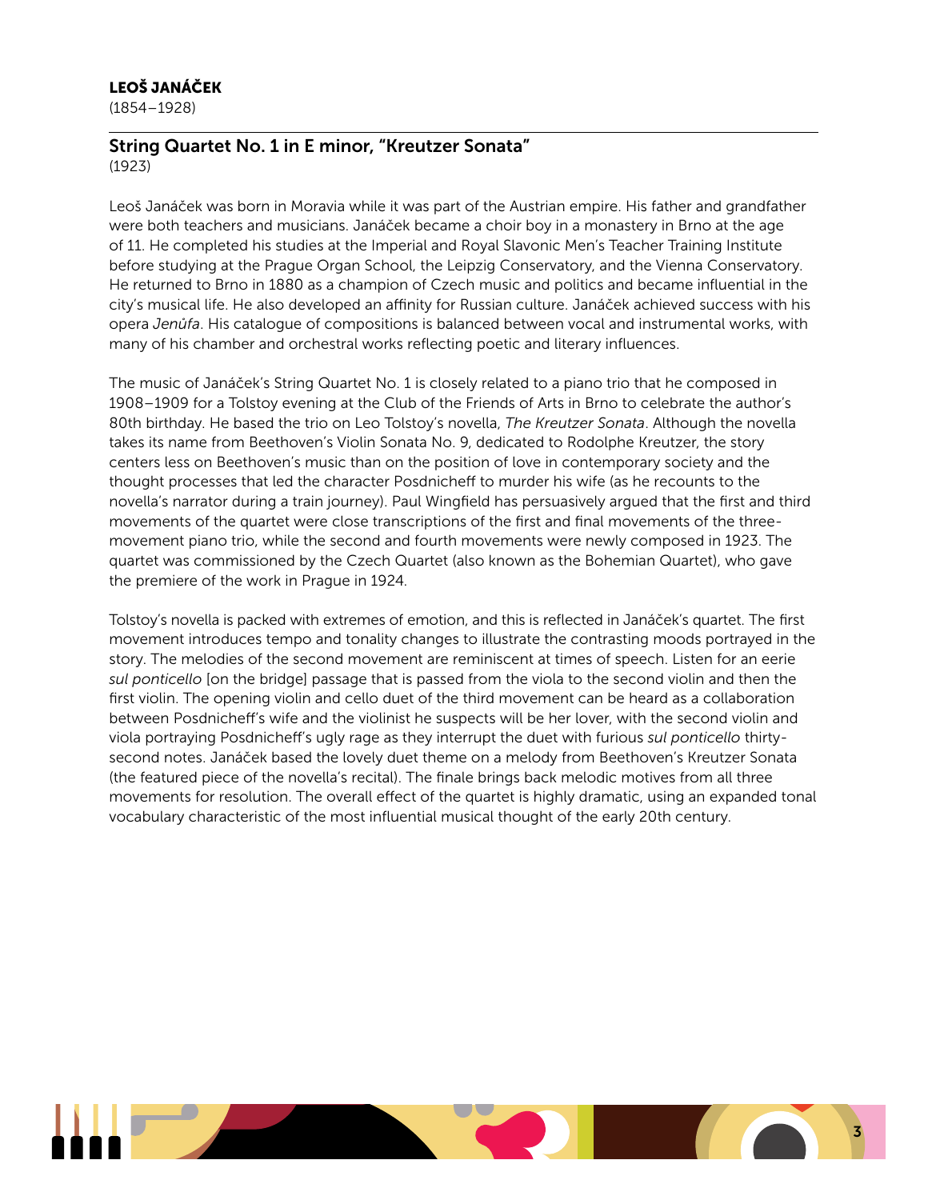#### LEOŠ JANÁČEK

(1854–1928)

#### String Quartet No. 1 in E minor, "Kreutzer Sonata" (1923)

Leoš Janáček was born in Moravia while it was part of the Austrian empire. His father and grandfather were both teachers and musicians. Janáček became a choir boy in a monastery in Brno at the age of 11. He completed his studies at the Imperial and Royal Slavonic Men's Teacher Training Institute before studying at the Prague Organ School, the Leipzig Conservatory, and the Vienna Conservatory. He returned to Brno in 1880 as a champion of Czech music and politics and became influential in the city's musical life. He also developed an affinity for Russian culture. Janáček achieved success with his opera *Jenůfa*. His catalogue of compositions is balanced between vocal and instrumental works, with many of his chamber and orchestral works reflecting poetic and literary influences.

The music of Janáček's String Quartet No. 1 is closely related to a piano trio that he composed in 1908–1909 for a Tolstoy evening at the Club of the Friends of Arts in Brno to celebrate the author's 80th birthday. He based the trio on Leo Tolstoy's novella, *The Kreutzer Sonata*. Although the novella takes its name from Beethoven's Violin Sonata No. 9, dedicated to Rodolphe Kreutzer, the story centers less on Beethoven's music than on the position of love in contemporary society and the thought processes that led the character Posdnicheff to murder his wife (as he recounts to the novella's narrator during a train journey). Paul Wingfield has persuasively argued that the first and third movements of the quartet were close transcriptions of the first and final movements of the threemovement piano trio, while the second and fourth movements were newly composed in 1923. The quartet was commissioned by the Czech Quartet (also known as the Bohemian Quartet), who gave the premiere of the work in Prague in 1924.

Tolstoy's novella is packed with extremes of emotion, and this is reflected in Janáček's quartet. The first movement introduces tempo and tonality changes to illustrate the contrasting moods portrayed in the story. The melodies of the second movement are reminiscent at times of speech. Listen for an eerie *sul ponticello* [on the bridge] passage that is passed from the viola to the second violin and then the first violin. The opening violin and cello duet of the third movement can be heard as a collaboration between Posdnicheff's wife and the violinist he suspects will be her lover, with the second violin and viola portraying Posdnicheff's ugly rage as they interrupt the duet with furious *sul ponticello* thirtysecond notes. Janáček based the lovely duet theme on a melody from Beethoven's Kreutzer Sonata (the featured piece of the novella's recital). The finale brings back melodic motives from all three movements for resolution. The overall effect of the quartet is highly dramatic, using an expanded tonal vocabulary characteristic of the most influential musical thought of the early 20th century.

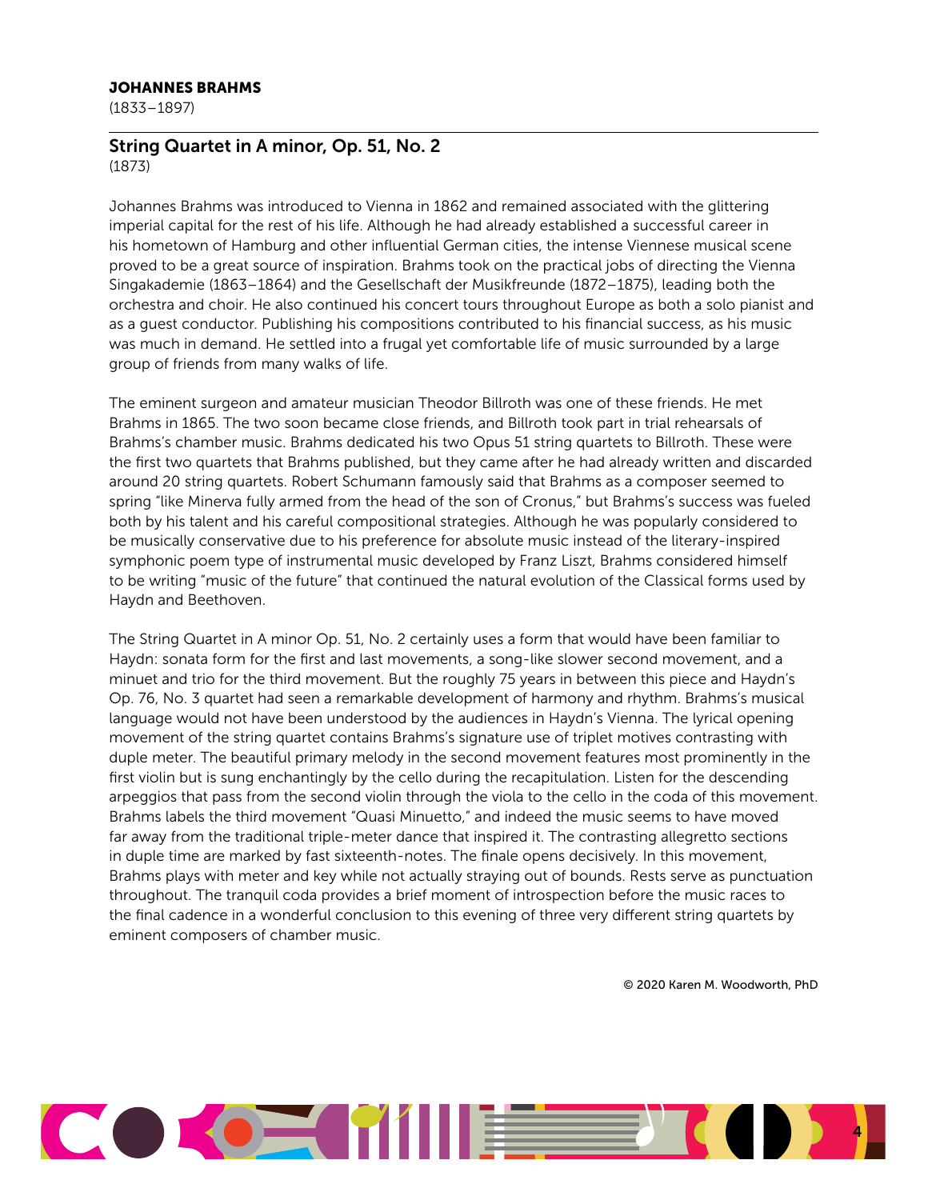#### JOHANNES BRAHMS

(1833–1897)

#### String Quartet in A minor, Op. 51, No. 2 (1873)

Johannes Brahms was introduced to Vienna in 1862 and remained associated with the glittering imperial capital for the rest of his life. Although he had already established a successful career in his hometown of Hamburg and other influential German cities, the intense Viennese musical scene proved to be a great source of inspiration. Brahms took on the practical jobs of directing the Vienna Singakademie (1863–1864) and the Gesellschaft der Musikfreunde (1872–1875), leading both the orchestra and choir. He also continued his concert tours throughout Europe as both a solo pianist and as a guest conductor. Publishing his compositions contributed to his financial success, as his music was much in demand. He settled into a frugal yet comfortable life of music surrounded by a large group of friends from many walks of life.

The eminent surgeon and amateur musician Theodor Billroth was one of these friends. He met Brahms in 1865. The two soon became close friends, and Billroth took part in trial rehearsals of Brahms's chamber music. Brahms dedicated his two Opus 51 string quartets to Billroth. These were the first two quartets that Brahms published, but they came after he had already written and discarded around 20 string quartets. Robert Schumann famously said that Brahms as a composer seemed to spring "like Minerva fully armed from the head of the son of Cronus," but Brahms's success was fueled both by his talent and his careful compositional strategies. Although he was popularly considered to be musically conservative due to his preference for absolute music instead of the literary-inspired symphonic poem type of instrumental music developed by Franz Liszt, Brahms considered himself to be writing "music of the future" that continued the natural evolution of the Classical forms used by Haydn and Beethoven.

The String Quartet in A minor Op. 51, No. 2 certainly uses a form that would have been familiar to Haydn: sonata form for the first and last movements, a song-like slower second movement, and a minuet and trio for the third movement. But the roughly 75 years in between this piece and Haydn's Op. 76, No. 3 quartet had seen a remarkable development of harmony and rhythm. Brahms's musical language would not have been understood by the audiences in Haydn's Vienna. The lyrical opening movement of the string quartet contains Brahms's signature use of triplet motives contrasting with duple meter. The beautiful primary melody in the second movement features most prominently in the first violin but is sung enchantingly by the cello during the recapitulation. Listen for the descending arpeggios that pass from the second violin through the viola to the cello in the coda of this movement. Brahms labels the third movement "Quasi Minuetto," and indeed the music seems to have moved far away from the traditional triple-meter dance that inspired it. The contrasting allegretto sections in duple time are marked by fast sixteenth-notes. The finale opens decisively. In this movement, Brahms plays with meter and key while not actually straying out of bounds. Rests serve as punctuation throughout. The tranquil coda provides a brief moment of introspection before the music races to the final cadence in a wonderful conclusion to this evening of three very different string quartets by eminent composers of chamber music.

© 2020 Karen M. Woodworth, PhD

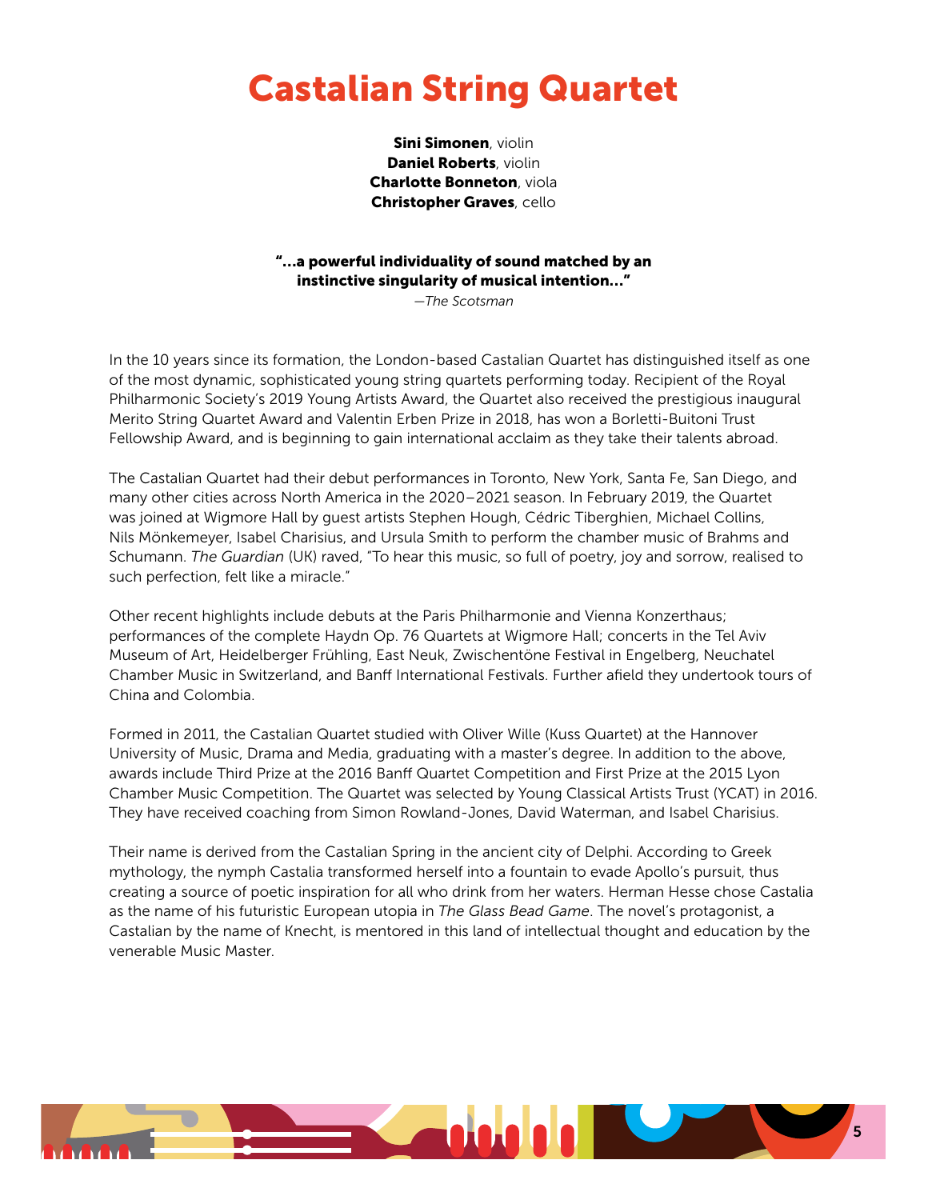## Castalian String Quartet

Sini Simonen, violin Daniel Roberts, violin Charlotte Bonneton, viola Christopher Graves, cello

### "…a powerful individuality of sound matched by an instinctive singularity of musical intention…"

*—The Scotsman*

In the 10 years since its formation, the London-based Castalian Quartet has distinguished itself as one of the most dynamic, sophisticated young string quartets performing today. Recipient of the Royal Philharmonic Society's 2019 Young Artists Award, the Quartet also received the prestigious inaugural Merito String Quartet Award and Valentin Erben Prize in 2018, has won a Borletti-Buitoni Trust Fellowship Award, and is beginning to gain international acclaim as they take their talents abroad.

The Castalian Quartet had their debut performances in Toronto, New York, Santa Fe, San Diego, and many other cities across North America in the 2020–2021 season. In February 2019, the Quartet was joined at Wigmore Hall by guest artists Stephen Hough, Cédric Tiberghien, Michael Collins, Nils Mönkemeyer, Isabel Charisius, and Ursula Smith to perform the chamber music of Brahms and Schumann. *The Guardian* (UK) raved, "To hear this music, so full of poetry, joy and sorrow, realised to such perfection, felt like a miracle."

Other recent highlights include debuts at the Paris Philharmonie and Vienna Konzerthaus; performances of the complete Haydn Op. 76 Quartets at Wigmore Hall; concerts in the Tel Aviv Museum of Art, Heidelberger Frühling, East Neuk, Zwischentöne Festival in Engelberg, Neuchatel Chamber Music in Switzerland, and Banff International Festivals. Further afield they undertook tours of China and Colombia.

Formed in 2011, the Castalian Quartet studied with Oliver Wille (Kuss Quartet) at the Hannover University of Music, Drama and Media, graduating with a master's degree. In addition to the above, awards include Third Prize at the 2016 Banff Quartet Competition and First Prize at the 2015 Lyon Chamber Music Competition. The Quartet was selected by Young Classical Artists Trust (YCAT) in 2016. They have received coaching from Simon Rowland-Jones, David Waterman, and Isabel Charisius.

Their name is derived from the Castalian Spring in the ancient city of Delphi. According to Greek mythology, the nymph Castalia transformed herself into a fountain to evade Apollo's pursuit, thus creating a source of poetic inspiration for all who drink from her waters. Herman Hesse chose Castalia as the name of his futuristic European utopia in *The Glass Bead Game*. The novel's protagonist, a Castalian by the name of Knecht, is mentored in this land of intellectual thought and education by the venerable Music Master.